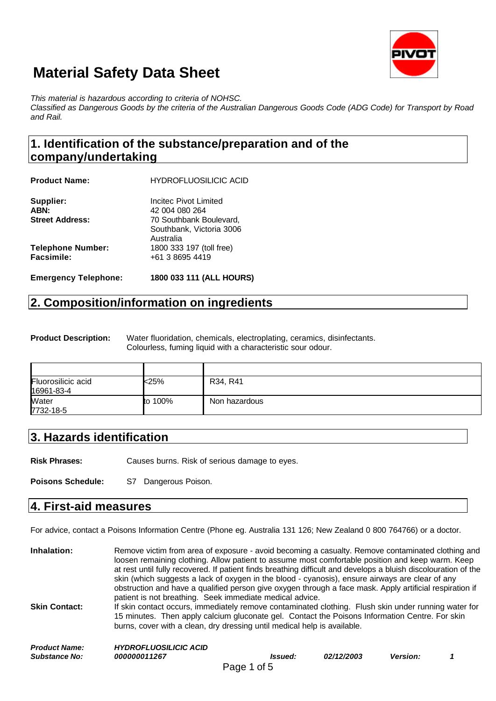

*This material is hazardous according to criteria of NOHSC.*

*Classified as Dangerous Goods by the criteria of the Australian Dangerous Goods Code (ADG Code) for Transport by Road and Rail.*

## **1. Identification of the substance/preparation and of the company/undertaking**

| <b>Emergency Telephone:</b> | 1800 033 111 (ALL HOURS)                            |
|-----------------------------|-----------------------------------------------------|
| Facsimile:                  | +61 3 8695 4419                                     |
| <b>Telephone Number:</b>    | Australia<br>1800 333 197 (toll free)               |
| <b>Street Address:</b>      | 70 Southbank Boulevard,<br>Southbank, Victoria 3006 |
| ABN:                        | 42 004 080 264                                      |
| Supplier:                   | Incitec Pivot Limited                               |
| <b>Product Name:</b>        | <b>HYDROFLUOSILICIC ACID</b>                        |

## **2. Composition/information on ingredients**

**Product Description:** Water fluoridation, chemicals, electroplating, ceramics, disinfectants. Colourless, fuming liquid with a characteristic sour odour.

| Fluorosilicic acid<br>16961-83-4 | <25%    | R34, R41      |
|----------------------------------|---------|---------------|
| Water<br>7732-18-5               | to 100% | Non hazardous |

## **3. Hazards identification**

**Risk Phrases:** Causes burns. Risk of serious damage to eyes.

**Poisons Schedule:** S7 Dangerous Poison.

#### **4. First-aid measures**

For advice, contact a Poisons Information Centre (Phone eg. Australia 131 126; New Zealand 0 800 764766) or a doctor.

| Inhalation:<br><b>Skin Contact:</b>          | Remove victim from area of exposure - avoid becoming a casualty. Remove contaminated clothing and<br>loosen remaining clothing. Allow patient to assume most comfortable position and keep warm. Keep<br>at rest until fully recovered. If patient finds breathing difficult and develops a bluish discolouration of the<br>skin (which suggests a lack of oxygen in the blood - cyanosis), ensure airways are clear of any<br>obstruction and have a qualified person give oxygen through a face mask. Apply artificial respiration if<br>patient is not breathing. Seek immediate medical advice.<br>If skin contact occurs, immediately remove contaminated clothing. Flush skin under running water for<br>15 minutes. Then apply calcium gluconate gel. Contact the Poisons Information Centre. For skin<br>burns, cover with a clean, dry dressing until medical help is available. |                |            |                 |  |
|----------------------------------------------|-------------------------------------------------------------------------------------------------------------------------------------------------------------------------------------------------------------------------------------------------------------------------------------------------------------------------------------------------------------------------------------------------------------------------------------------------------------------------------------------------------------------------------------------------------------------------------------------------------------------------------------------------------------------------------------------------------------------------------------------------------------------------------------------------------------------------------------------------------------------------------------------|----------------|------------|-----------------|--|
| <b>Product Name:</b><br><b>Substance No:</b> | <b>HYDROFLUOSILICIC ACID</b><br>000000011267                                                                                                                                                                                                                                                                                                                                                                                                                                                                                                                                                                                                                                                                                                                                                                                                                                              | <i>Issued:</i> | 02/12/2003 | <b>Version:</b> |  |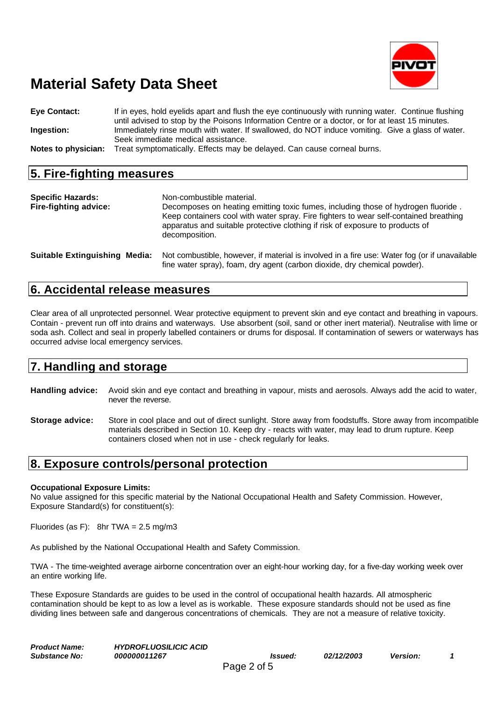

**Eye Contact:** If in eyes, hold eyelids apart and flush the eye continuously with running water. Continue flushing until advised to stop by the Poisons Information Centre or a doctor, or for at least 15 minutes. **Ingestion:** Immediately rinse mouth with water. If swallowed, do NOT induce vomiting. Give a glass of water. Seek immediate medical assistance. **Notes to physician:** Treat symptomatically. Effects may be delayed. Can cause corneal burns.

#### **5. Fire-fighting measures**

| <b>Specific Hazards:</b><br>Fire-fighting advice: | Non-combustible material.<br>Decomposes on heating emitting toxic fumes, including those of hydrogen fluoride.<br>Keep containers cool with water spray. Fire fighters to wear self-contained breathing<br>apparatus and suitable protective clothing if risk of exposure to products of<br>decomposition. |
|---------------------------------------------------|------------------------------------------------------------------------------------------------------------------------------------------------------------------------------------------------------------------------------------------------------------------------------------------------------------|
| <b>Suitable Extinguishing Media:</b>              | Not combustible, however, if material is involved in a fire use: Water fog (or if unavailable<br>fine water spray), foam, dry agent (carbon dioxide, dry chemical powder).                                                                                                                                 |

### **6. Accidental release measures**

Clear area of all unprotected personnel. Wear protective equipment to prevent skin and eye contact and breathing in vapours. Contain - prevent run off into drains and waterways. Use absorbent (soil, sand or other inert material). Neutralise with lime or soda ash. Collect and seal in properly labelled containers or drums for disposal. If contamination of sewers or waterways has occurred advise local emergency services.

### **7. Handling and storage**

- **Handling advice:** Avoid skin and eye contact and breathing in vapour, mists and aerosols. Always add the acid to water, never the reverse.
- **Storage advice:** Store in cool place and out of direct sunlight. Store away from foodstuffs. Store away from incompatible materials described in Section 10. Keep dry - reacts with water, may lead to drum rupture. Keep containers closed when not in use - check regularly for leaks.

### **8. Exposure controls/personal protection**

#### **Occupational Exposure Limits:**

No value assigned for this specific material by the National Occupational Health and Safety Commission. However, Exposure Standard(s) for constituent(s):

Fluorides (as F): 8hr TWA =  $2.5 \text{ mg/m}3$ 

As published by the National Occupational Health and Safety Commission.

TWA - The time-weighted average airborne concentration over an eight-hour working day, for a five-day working week over an entire working life.

These Exposure Standards are guides to be used in the control of occupational health hazards. All atmospheric contamination should be kept to as low a level as is workable. These exposure standards should not be used as fine dividing lines between safe and dangerous concentrations of chemicals. They are not a measure of relative toxicity.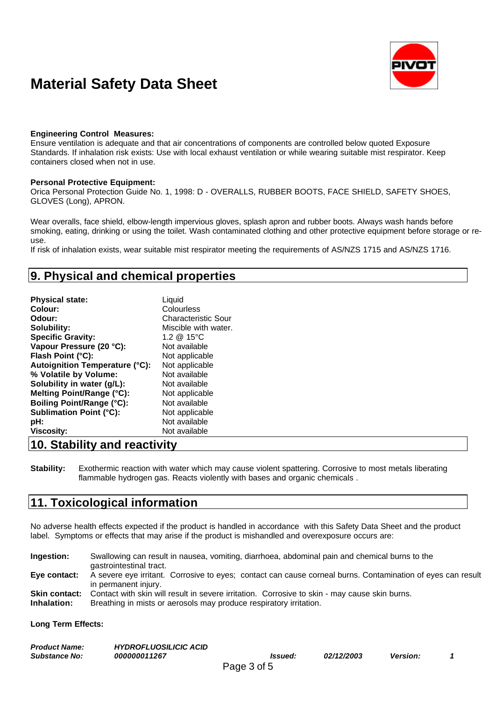

#### **Engineering Control Measures:**

Ensure ventilation is adequate and that air concentrations of components are controlled below quoted Exposure Standards. If inhalation risk exists: Use with local exhaust ventilation or while wearing suitable mist respirator. Keep containers closed when not in use.

#### **Personal Protective Equipment:**

Orica Personal Protection Guide No. 1, 1998: D - OVERALLS, RUBBER BOOTS, FACE SHIELD, SAFETY SHOES, GLOVES (Long), APRON.

Wear overalls, face shield, elbow-length impervious gloves, splash apron and rubber boots. Always wash hands before smoking, eating, drinking or using the toilet. Wash contaminated clothing and other protective equipment before storage or reuse.

If risk of inhalation exists, wear suitable mist respirator meeting the requirements of AS/NZS 1715 and AS/NZS 1716.

### **9. Physical and chemical properties**

| <b>Physical state:</b>           | Liquid                     |
|----------------------------------|----------------------------|
| Colour:                          | Colourless                 |
| Odour:                           | <b>Characteristic Sour</b> |
| Solubility:                      | Miscible with water.       |
| <b>Specific Gravity:</b>         | 1.2 $@$ 15°C               |
| Vapour Pressure (20 °C):         | Not available              |
| Flash Point (°C):                | Not applicable             |
| Autoignition Temperature (°C):   | Not applicable             |
| % Volatile by Volume:            | Not available              |
| Solubility in water (g/L):       | Not available              |
| Melting Point/Range (°C):        | Not applicable             |
| <b>Boiling Point/Range (°C):</b> | Not available              |
| <b>Sublimation Point (°C):</b>   | Not applicable             |
| pH:                              | Not available              |
| <b>Viscosity:</b>                | Not available              |

### **10. Stability and reactivity**

**Stability:** Exothermic reaction with water which may cause violent spattering. Corrosive to most metals liberating flammable hydrogen gas. Reacts violently with bases and organic chemicals .

### **11. Toxicological information**

No adverse health effects expected if the product is handled in accordance with this Safety Data Sheet and the product label. Symptoms or effects that may arise if the product is mishandled and overexposure occurs are:

**Ingestion:** Swallowing can result in nausea, vomiting, diarrhoea, abdominal pain and chemical burns to the gastrointestinal tract. **Eye contact:** A severe eye irritant. Corrosive to eyes; contact can cause corneal burns. Contamination of eyes can result in permanent injury. **Skin contact:** Contact with skin will result in severe irritation. Corrosive to skin - may cause skin burns. **Inhalation:** Breathing in mists or aerosols may produce respiratory irritation.

**Long Term Effects:**

| <b>Product Name:</b> | <b>HYDROFLUOSILICIC ACID</b> |                |            |                 |  |
|----------------------|------------------------------|----------------|------------|-----------------|--|
| <b>Substance No:</b> | 000000011267                 | <i>Issued:</i> | 02/12/2003 | <b>Version:</b> |  |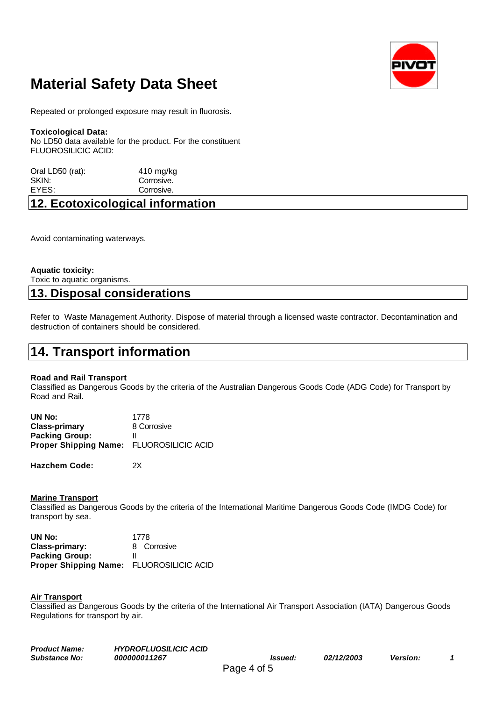

Repeated or prolonged exposure may result in fluorosis.

#### **Toxicological Data:**

No LD50 data available for the product. For the constituent FLUOROSILICIC ACID:

| Oral LD50 (rat): | $410$ mg/kg |
|------------------|-------------|
| SKIN:            | Corrosive.  |
| EYES:            | Corrosive.  |
|                  |             |

## **12. Ecotoxicological information**

Avoid contaminating waterways.

#### **Aquatic toxicity:**

Toxic to aquatic organisms.

#### **13. Disposal considerations**

Refer to Waste Management Authority. Dispose of material through a licensed waste contractor. Decontamination and destruction of containers should be considered.

## **14. Transport information**

#### **Road and Rail Transport**

Classified as Dangerous Goods by the criteria of the Australian Dangerous Goods Code (ADG Code) for Transport by Road and Rail.

| UN No:                                   | 1778        |
|------------------------------------------|-------------|
| <b>Class-primary</b>                     | 8 Corrosive |
| <b>Packing Group:</b>                    |             |
| Proper Shipping Name: FLUOROSILICIC ACID |             |
|                                          |             |

**Hazchem Code:** 2X

#### **Marine Transport**

Classified as Dangerous Goods by the criteria of the International Maritime Dangerous Goods Code (IMDG Code) for transport by sea.

| UN No:                                   | 1778        |
|------------------------------------------|-------------|
| Class-primary:                           | 8 Corrosive |
| <b>Packing Group:</b>                    |             |
| Proper Shipping Name: FLUOROSILICIC ACID |             |

#### **Air Transport**

Classified as Dangerous Goods by the criteria of the International Air Transport Association (IATA) Dangerous Goods Regulations for transport by air.

| <b>Product Name:</b> | <b>HYDROFLUOSILICIC ACID</b> |                |                          |                 |  |
|----------------------|------------------------------|----------------|--------------------------|-----------------|--|
| <b>Substance No:</b> | 000000011267                 | <i>Issued:</i> | <i><b>02/12/2003</b></i> | <b>Version:</b> |  |
|                      |                              | Page 4 of 5    |                          |                 |  |